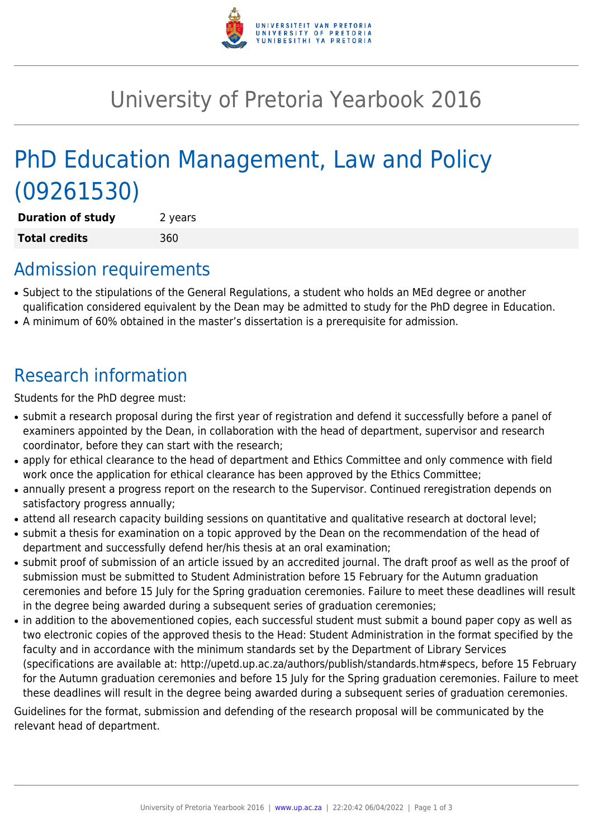

## University of Pretoria Yearbook 2016

# PhD Education Management, Law and Policy (09261530)

**Duration of study** 2 years **Total credits** 360

#### Admission requirements

- Subject to the stipulations of the General Regulations, a student who holds an MEd degree or another qualification considered equivalent by the Dean may be admitted to study for the PhD degree in Education.
- A minimum of 60% obtained in the master's dissertation is a prerequisite for admission.

## Research information

Students for the PhD degree must:

- submit a research proposal during the first year of registration and defend it successfully before a panel of examiners appointed by the Dean, in collaboration with the head of department, supervisor and research coordinator, before they can start with the research;
- apply for ethical clearance to the head of department and Ethics Committee and only commence with field work once the application for ethical clearance has been approved by the Ethics Committee;
- annually present a progress report on the research to the Supervisor. Continued reregistration depends on satisfactory progress annually;
- attend all research capacity building sessions on quantitative and qualitative research at doctoral level;
- submit a thesis for examination on a topic approved by the Dean on the recommendation of the head of department and successfully defend her/his thesis at an oral examination;
- submit proof of submission of an article issued by an accredited journal. The draft proof as well as the proof of submission must be submitted to Student Administration before 15 February for the Autumn graduation ceremonies and before 15 July for the Spring graduation ceremonies. Failure to meet these deadlines will result in the degree being awarded during a subsequent series of graduation ceremonies;
- in addition to the abovementioned copies, each successful student must submit a bound paper copy as well as two electronic copies of the approved thesis to the Head: Student Administration in the format specified by the faculty and in accordance with the minimum standards set by the Department of Library Services (specifications are available at: http://upetd.up.ac.za/authors/publish/standards.htm#specs, before 15 February for the Autumn graduation ceremonies and before 15 July for the Spring graduation ceremonies. Failure to meet these deadlines will result in the degree being awarded during a subsequent series of graduation ceremonies.

Guidelines for the format, submission and defending of the research proposal will be communicated by the relevant head of department.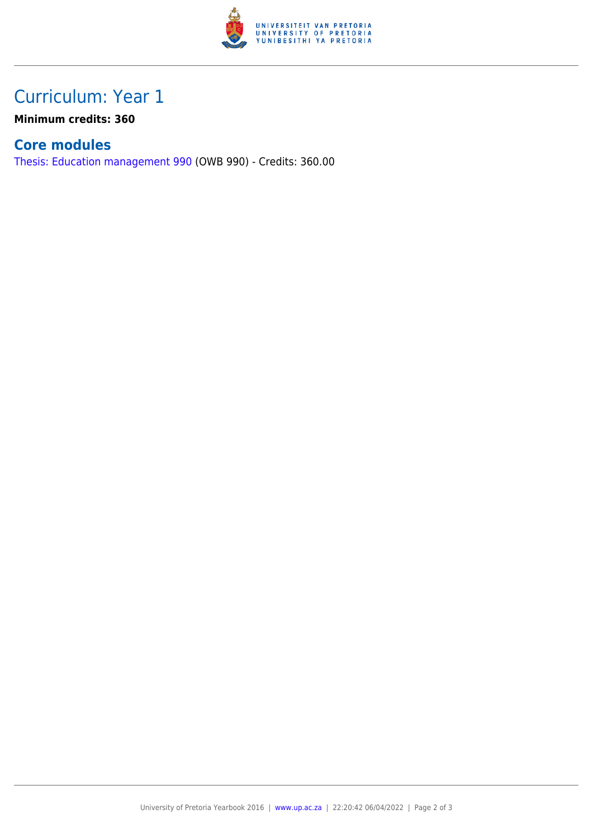

### Curriculum: Year 1

**Minimum credits: 360**

#### **Core modules**

[Thesis: Education management 990](https://www.up.ac.za/parents/yearbooks/2016/modules/view/OWB 990) (OWB 990) - Credits: 360.00